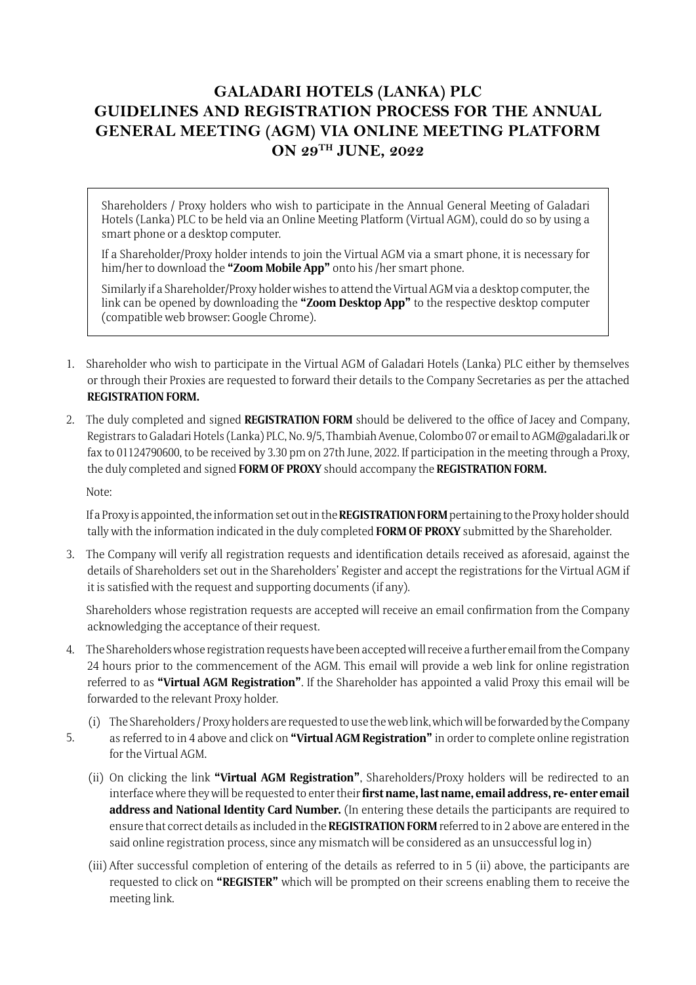## **GALADARI HOTELS (LANKA) PLC GUIDELINES AND REGISTRATION PROCESS FOR THE ANNUAL GENERAL MEETING (AGM) VIA ONLINE MEETING PLATFORM ON 29TH JUNE, 2022**

Shareholders / Proxy holders who wish to participate in the Annual General Meeting of Galadari Hotels (Lanka) PLC to be held via an Online Meeting Platform (Virtual AGM), could do so by using a smart phone or a desktop computer.

If a Shareholder/Proxy holder intends to join the Virtual AGM via a smart phone, it is necessary for him/her to download the **"Zoom Mobile App"** onto his /her smart phone.

Similarly if a Shareholder/Proxy holder wishes to attend the Virtual AGM via a desktop computer, the link can be opened by downloading the **"Zoom Desktop App"** to the respective desktop computer (compatible web browser: Google Chrome).

- 1. Shareholder who wish to participate in the Virtual AGM of Galadari Hotels (Lanka) PLC either by themselves or through their Proxies are requested to forward their details to the Company Secretaries as per the attached **REGISTRATION FORM.**
- 2. The duly completed and signed **REGISTRATION FORM** should be delivered to the office of Jacey and Company, Registrars to Galadari Hotels (Lanka) PLC, No. 9/5, Thambiah Avenue, Colombo 07 or email to AGM@galadari.lk or fax to 01124790600, to be received by 3.30 pm on 27th June, 2022. If participation in the meeting through a Proxy, the duly completed and signed **FORM OF PROXY** should accompany the **REGISTRATION FORM.**

Note:

If a Proxy is appointed, the information set out in the **REGISTRATION FORM** pertaining to the Proxy holder should tally with the information indicated in the duly completed **FORM OF PROXY** submitted by the Shareholder.

3. The Company will verify all registration requests and identification details received as aforesaid, against the details of Shareholders set out in the Shareholders' Register and accept the registrations for the Virtual AGM if it is satisfied with the request and supporting documents (if any).

Shareholders whose registration requests are accepted will receive an email confirmation from the Company acknowledging the acceptance of their request.

- 4. The Shareholders whose registration requests have been accepted will receive a further email from the Company 24 hours prior to the commencement of the AGM. This email will provide a web link for online registration referred to as **"Virtual AGM Registration"**. If the Shareholder has appointed a valid Proxy this email will be forwarded to the relevant Proxy holder.
	- (i) The Shareholders / Proxy holders are requested to use the web link, which will be forwarded by the Company
- as referred to in 4 above and click on **"Virtual AGM Registration"** in order to complete online registration for the Virtual AGM. 5.
	- (ii) On clicking the link **"Virtual AGM Registration"**, Shareholders/Proxy holders will be redirected to an interface where they will be requested to enter their **first name, last name, email address, re- enter email address and National Identity Card Number.** (In entering these details the participants are required to ensure that correct details as included in the **REGISTRATION FORM** referred to in 2 above are entered in the said online registration process, since any mismatch will be considered as an unsuccessful log in)
	- (iii) After successful completion of entering of the details as referred to in 5 (ii) above, the participants are requested to click on **"REGISTER"** which will be prompted on their screens enabling them to receive the meeting link.